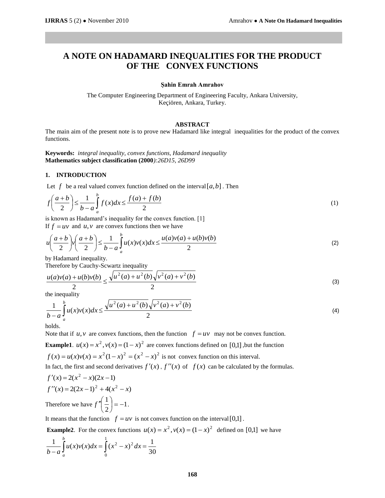# **A NOTE ON HADAMARD INEQUALITIES FOR THE PRODUCT OF THE CONVEX FUNCTIONS**

#### **Şahin Emrah Amrahov**

The Computer Engineering Department of Engineering Faculty, Ankara University, Keçiören, Ankara, Turkey.

## **ABSTRACT**

The main aim of the present note is to prove new Hadamard like integral inequalities for the product of the convex functions.

**Keywords:** *integral inequality, convex functions, Hadamard inequality* **Mathematics subject classification (2000***):26D15, 26D99*

## **1. INTRODUCTION**

Let  $f$  be a real valued convex function defined on the interval  $[a,b]$ . Then

Let 
$$
f
$$
 be a real valued convex function defined on the interval  $[a,b]$ . Then  
\n
$$
f\left(\frac{a+b}{2}\right) \le \frac{1}{b-a} \int_a^b f(x)dx \le \frac{f(a)+f(b)}{2}
$$
\n(1)

is known as Hadamard's inequality for the convex function. [1] If  $f = uv$  and  $u, v$  are convex functions then we have

is known as Hadamard's inequality for the convex function. [1]  
\nIf 
$$
f = uv
$$
 and  $u, v$  are convex functions then we have  
\n
$$
u\left(\frac{a+b}{2}\right)v\left(\frac{a+b}{2}\right) \le \frac{1}{b-a}\int_{a}^{b} u(x)v(x)dx \le \frac{u(a)v(a) + u(b)v(b)}{2}
$$
\n(2)

by Hadamard inequality.

Therefore by Cauchy-Scwartz inequality

$$
\frac{u(a)v(a) + u(b)v(b)}{2} \le \frac{\sqrt{u^2(a) + u^2(b)}\sqrt{v^2(a) + v^2(b)}}{2}
$$
\n(3)

the inequality

the inequality  
\n
$$
\frac{1}{b-a} \int_{a}^{b} u(x)v(x)dx \le \frac{\sqrt{u^2(a) + u^2(b)}\sqrt{v^2(a) + v^2(b)}}{2}
$$
\n(4)

holds.

Note that if  $u, v$  are convex functions, then the function  $f = uv$  may not be convex function.

**Example1**.  $u(x) = x^2$ ,  $v(x) = (1 - x)^2$  are convex functions defined on [0,1], but the function  $f(x) = u(x)v(x) = x^2(1-x)^2 = (x^2 - x)^2$  is not convex function on this interval.

In fact, the first and second derivatives  $f'(x)$ ,  $f''(x)$  of  $f(x)$  can be calculated by the formulas.

$$
f'(x) = 2(x2 - x)(2x - 1)
$$
  
f''(x) = 2(2x - 1)<sup>2</sup> + 4(x<sup>2</sup> - x)  
Therefore we have  $f''\left(\frac{1}{2}\right) = -1$ .

It means that the function  $f = uv$  is not convex function on the interval [0,1].

**Example2**. For the convex functions  $u(x) = x^2$ ,  $v(x) = (1 - x)^2$  defined on [0,1] we have

$$
\frac{1}{b-a}\int_{a}^{b}u(x)v(x)dx = \int_{0}^{1}(x^2 - x)^2 dx = \frac{1}{30}
$$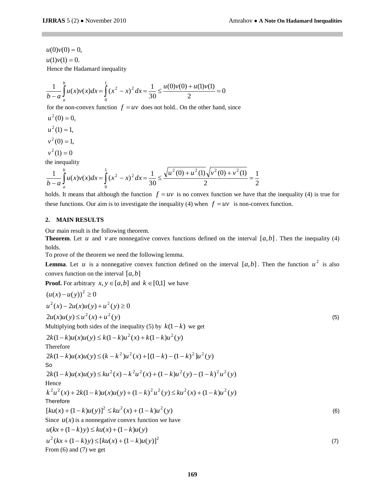$u(1)v(1) = 0.$  $u(0)v(0) = 0,$ Hence the Hadamard inequality

$$
\frac{1}{b-a} \int_{a}^{b} u(x)v(x)dx = \int_{0}^{1} (x^2 - x)^2 dx = \frac{1}{30} \le \frac{u(0)v(0) + u(1)v(1)}{2} = 0
$$

for the non-convex function  $f = uv$  does not hold.. On the other hand, since

$$
u2(0) = 0,
$$
  

$$
u2(1) = 1,
$$
  

$$
v2(0) = 1,
$$

 $v^2(1) = 0$ 

the inequality

the inequality  
\n
$$
\frac{1}{b-a} \int_{a}^{b} u(x)v(x)dx = \int_{0}^{1} (x^2 - x)^2 dx = \frac{1}{30} \le \frac{\sqrt{u^2(0) + u^2(1)} \sqrt{v^2(0) + v^2(1)}}{2} = \frac{1}{2}
$$

holds. It means that although the function  $f = uv$  is no convex function we have that the inequality (4) is true for these functions. Our aim is to investigate the inequality (4) when  $f = uv$  is non-convex function.

### **2. MAIN RESULTS**

Our main result is the following theorem.

**Theorem**. Let *u* and *v* are nonnegative convex functions defined on the interval  $[a,b]$ . Then the inequality (4) holds.

To prove of the theorem we need the following lemma.

**Lemma**. Let *u* is a nonnegative convex function defined on the interval  $[a,b]$ . Then the function  $u^2$  is also convex function on the interval [*a*,*b*]

**Proof.** For arbitrary  $x, y \in [a, b]$  and  $k \in [0,1]$  we have

$$
(u(x)-u(y))^{2} \ge 0
$$
  
\n
$$
u^{2}(x)-2u(x)u(y)+u^{2}(y) \ge 0
$$
  
\n
$$
2u(x)u(y) \le u^{2}(x) + u^{2}(y)
$$
  
\nMultiplying both sides of the inequality (5) by  $k(1-k)$  we get  
\n
$$
2k(1-k)u(x)u(y) \le k(1-k)u^{2}(x) + k(1-k)u^{2}(y)
$$
  
\nTherefore  
\n
$$
2k(1-k)u(x)u(y) \le (k-k^{2})u^{2}(x) + [(1-k)-(1-k)^{2}]u^{2}(y)
$$
  
\nSo  
\n
$$
2k(1-k)u(x)u(y) \le ku^{2}(x) - k^{2}u^{2}(x) + (1-k)u^{2}(y) - (1-k)^{2}u^{2}(y)
$$
  
\nHence  
\n
$$
k^{2}u^{2}(x) + 2k(1-k)u(x)u(y) + (1-k)^{2}u^{2}(y) \le ku^{2}(x) + (1-k)u^{2}(y)
$$
  
\nTherefore  
\n
$$
[ku(x) + (1-k)u(y)]^{2} \le ku^{2}(x) + (1-k)u^{2}(y)
$$
  
\nSince  $u(x)$  is a nonnegative convex function we have  
\n $u(kx + (1-k)y) \le [ku(x) + (1-k)u(y)]^{2}$   
\nFrom (6) and (7) we get  
\n(7)  
\nFrom (6) and (7) we get

From  $(6)$  and  $(7)$  we get